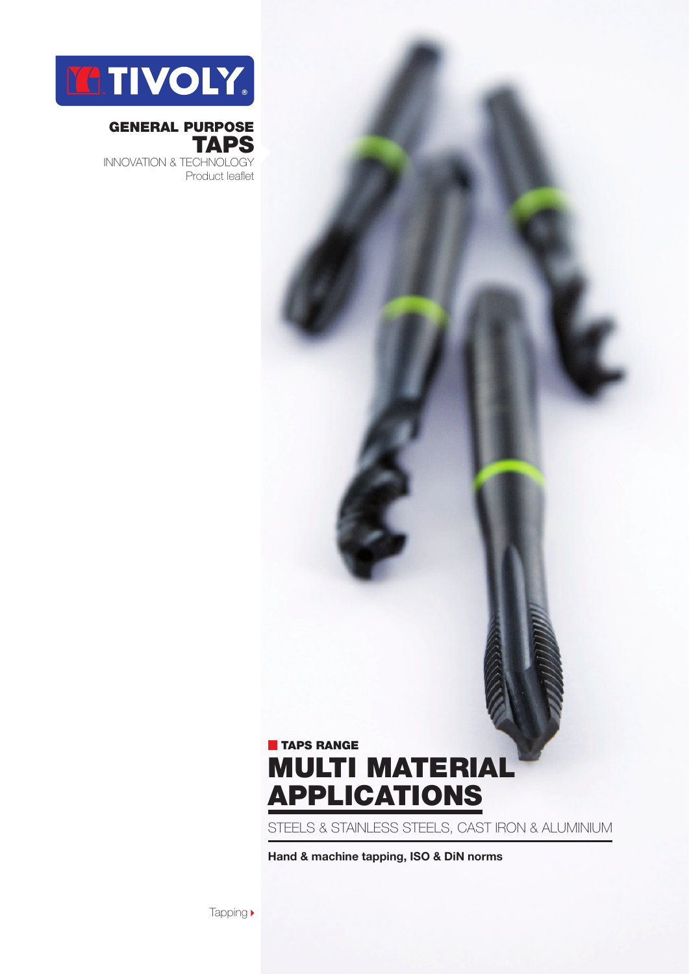

### general purpose **TAPS**

innovation & technology Product leaflet

## **TAPS RANGE** multi material applications

steels & stainless steels, cast iron & Aluminium

**Hand & machine tapping, ISO & DiN norms**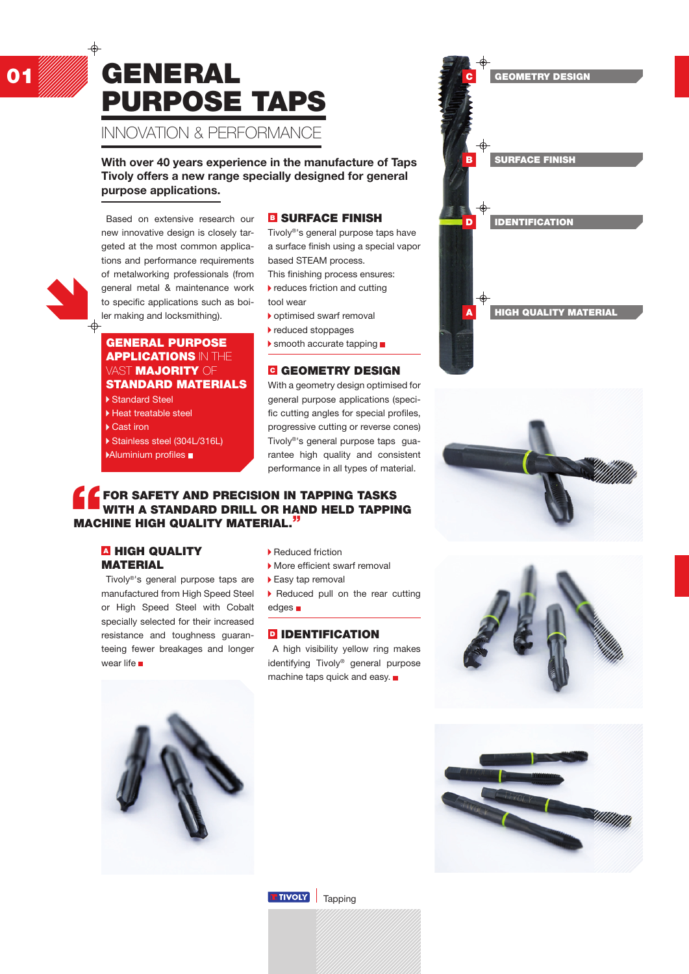## 01 William GENERAL Since And Context Design purpose taps Innovation & performance

**With over 40 years experience in the manufacture of Taps Tivoly offers a new range specially designed for general purpose applications.**

#### Based on extensive research our new innovative design is closely targeted at the most common applications and performance requirements of metalworking professionals (from general metal & maintenance work to specific applications such as boiler making and locksmithing).

#### General purpose **APPLICATIONS IN THE VAST MAJORITY OF** standard materials

Standard Steel

- Heat treatable steel
- ▶ Cast iron
- 

Stainless steel (304L/316L)

Aluminium profiles

#### **B SURFACE FINISH**

Tivoly®'s general purpose taps have a surface finish using a special vapor based STEAM process. This finishing process ensures:

- $\blacktriangleright$  reduces friction and cutting
- tool wear
- optimised swarf removal
- reduced stoppages
- $\blacktriangleright$  smooth accurate tapping  $\blacksquare$

#### **C GEOMETRY DESIGN**

With a geometry design optimised for general purpose applications (specific cutting angles for special profiles, progressive cutting or reverse cones) Tivoly®'s general purpose taps guarantee high quality and consistent performance in all types of material.

#### FOR SAFETY AND PRECISION IN TAPPING TASKS WITH A STANDARD DRILL OR HAND HELD TAPPING machine High quality material."

#### **A HIGH QUALITY MATERIAL**

Tivoly®'s general purpose taps are manufactured from High Speed Steel or High Speed Steel with Cobalt specially selected for their increased resistance and toughness guaranteeing fewer breakages and longer wear life

- ▶ Reduced friction
- More efficient swarf removal
- ▶ Easy tap removal
- ▶ Reduced pull on the rear cutting edges **n**

#### **D** IDENTIFICATION

A high visibility yellow ring makes identifying Tivoly® general purpose machine taps quick and easy.











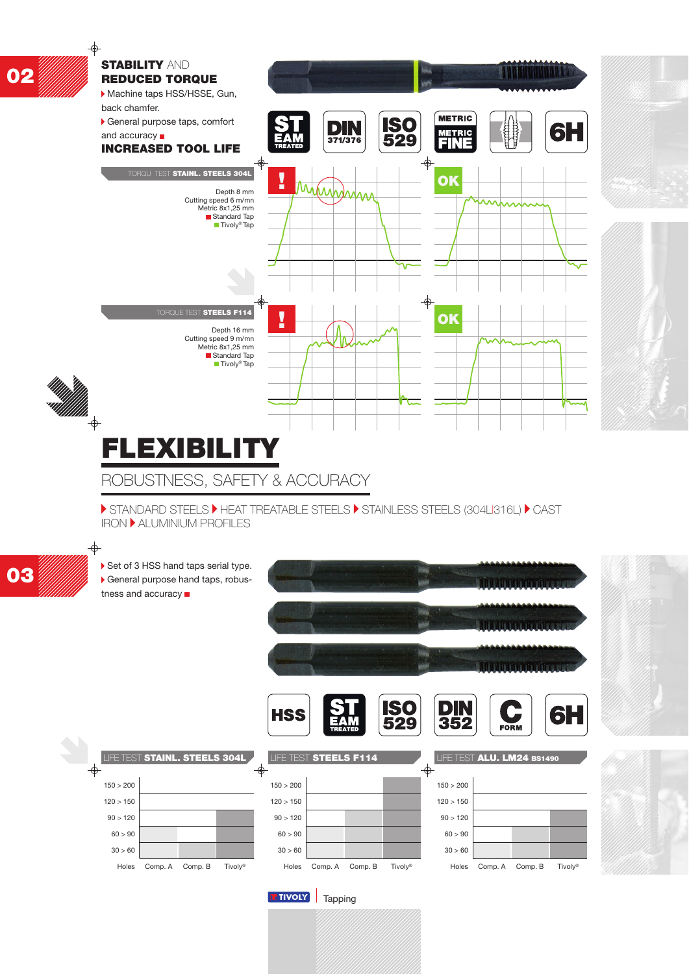